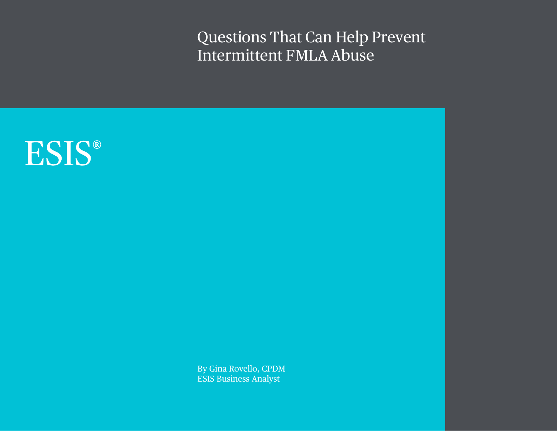Questions That Can Help Prevent Intermittent FMLA Abuse



By Gina Rovello, CPDM ESIS Business Analyst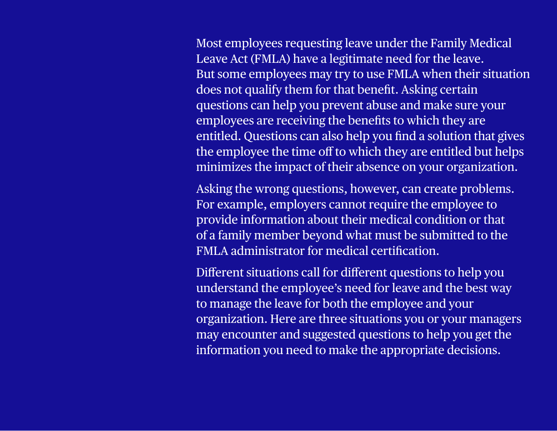Most employees requesting leave under the Family Medical Leave Act (FMLA) have a legitimate need for the leave. But some employees may try to use FMLA when their situation does not qualify them for that benefit. Asking certain questions can help you prevent abuse and make sure your employees are receiving the benefits to which they are entitled. Questions can also help you find a solution that gives the employee the time off to which they are entitled but helps minimizes the impact of their absence on your organization.

Asking the wrong questions, however, can create problems. For example, employers cannot require the employee to provide information about their medical condition or that of a family member beyond what must be submitted to the FMLA administrator for medical certification.

Different situations call for different questions to help you understand the employee's need for leave and the best way to manage the leave for both the employee and your organization. Here are three situations you or your managers may encounter and suggested questions to help you get the information you need to make the appropriate decisions.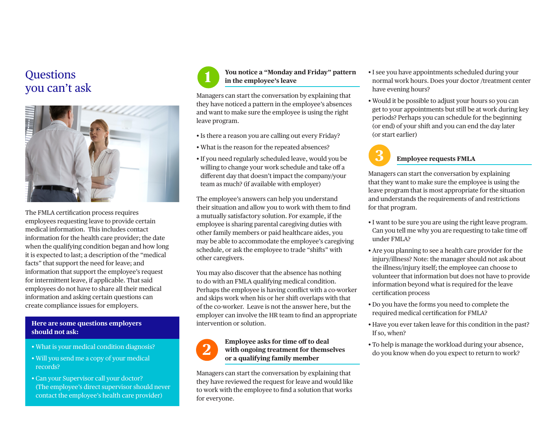### **Ouestions** you can't ask



The FMLA certification process requires employees requesting leave to provide certain medical information. This includes contact information for the health care provider; the date when the qualifying condition began and how long it is expected to last; a description of the "medical facts" that support the need for leave; and information that support the employee's request for intermittent leave, if applicable. That said employees do not have to share all their medical information and asking certain questions can create compliance issues for employers.

#### **Here are some questions employers should not ask:**

- What is your medical condition diagnosis?
- Will you send me a copy of your medical records?
- Can your Supervisor call your doctor? (The employee's direct supervisor should never contact the employee's health care provider)



#### **You notice a "Monday and Friday" pattern in the employee's leave**

Managers can start the conversation by explaining that they have noticed a pattern in the employee's absences and want to make sure the employee is using the right leave program.

- Is there a reason you are calling out every Friday?
- What is the reason for the repeated absences?
- If you need regularly scheduled leave, would you be willing to change your work schedule and take off a different day that doesn't impact the company/your team as much? (if available with employer)

The employee's answers can help you understand their situation and allow you to work with them to find a mutually satisfactory solution. For example, if the employee is sharing parental caregiving duties with other family members or paid healthcare aides, you may be able to accommodate the employee's caregiving schedule, or ask the employee to trade "shifts" with other caregivers.

You may also discover that the absence has nothing to do with an FMLA qualifying medical condition. Perhaps the employee is having conflict with a co-worker and skips work when his or her shift overlaps with that of the co-worker. Leave is not the answer here, but the employer can involve the HR team to find an appropriate intervention or solution.

## **2**

#### **Employee asks for time off to deal with ongoing treatment for themselves or a qualifying family member**

Managers can start the conversation by explaining that they have reviewed the request for leave and would like to work with the employee to find a solution that works for everyone.

- I see you have appointments scheduled during your normal work hours. Does your doctor /treatment center have evening hours?
- Would it be possible to adjust your hours so you can get to your appointments but still be at work during key periods? Perhaps you can schedule for the beginning (or end) of your shift and you can end the day later (or start earlier)



#### **Employee requests FMLA**

Managers can start the conversation by explaining that they want to make sure the employee is using the leave program that is most appropriate for the situation and understands the requirements of and restrictions for that program.

- I want to be sure you are using the right leave program. Can you tell me why you are requesting to take time off under FMLA?
- Are you planning to see a health care provider for the injury/illness? Note: the manager should not ask about the illness/injury itself; the employee can choose to volunteer that information but does not have to provide information beyond what is required for the leave certification process
- Do you have the forms you need to complete the required medical certification for FMLA?
- Have you ever taken leave for this condition in the past? If so, when?
- To help is manage the workload during your absence, do you know when do you expect to return to work?